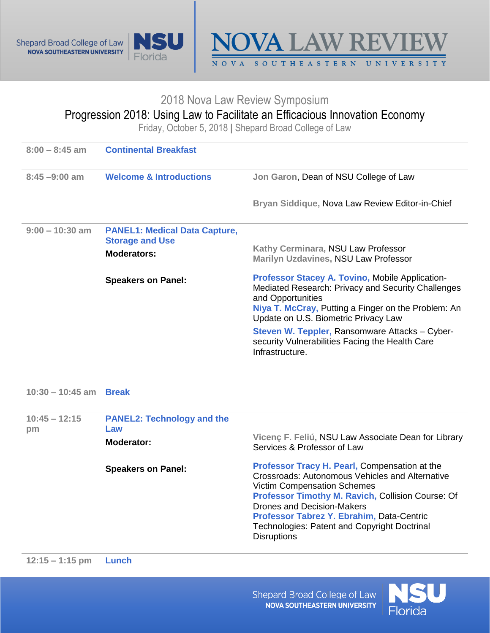





## 2018 Nova Law Review Symposium

## Progression 2018: Using Law to Facilitate an Efficacious Innovation Economy

Friday, October 5, 2018 **|** Shepard Broad College of Law

| <b>Continental Breakfast</b>                                                  |                                                                                                                                                                                                                                                                                                                                                          |
|-------------------------------------------------------------------------------|----------------------------------------------------------------------------------------------------------------------------------------------------------------------------------------------------------------------------------------------------------------------------------------------------------------------------------------------------------|
| <b>Welcome &amp; Introductions</b>                                            | Jon Garon, Dean of NSU College of Law                                                                                                                                                                                                                                                                                                                    |
|                                                                               | Bryan Siddique, Nova Law Review Editor-in-Chief                                                                                                                                                                                                                                                                                                          |
| <b>PANEL1: Medical Data Capture,</b><br><b>Storage and Use</b><br>Moderators: | Kathy Cerminara, NSU Law Professor<br>Marilyn Uzdavines, NSU Law Professor                                                                                                                                                                                                                                                                               |
| <b>Speakers on Panel:</b>                                                     | <b>Professor Stacey A. Tovino, Mobile Application-</b><br>Mediated Research: Privacy and Security Challenges<br>and Opportunities<br>Niya T. McCray, Putting a Finger on the Problem: An<br>Update on U.S. Biometric Privacy Law<br>Steven W. Teppler, Ransomware Attacks - Cyber-<br>security Vulnerabilities Facing the Health Care<br>Infrastructure. |
|                                                                               |                                                                                                                                                                                                                                                                                                                                                          |

**10:30 – 10:45 am Break**

| $10:45 - 12:15$<br>pm | <b>PANEL2: Technology and the</b><br>Law<br>Moderator: | Vicenç F. Feliú, NSU Law Associate Dean for Library<br>Services & Professor of Law                                                                                                                                                                                                                                                                  |
|-----------------------|--------------------------------------------------------|-----------------------------------------------------------------------------------------------------------------------------------------------------------------------------------------------------------------------------------------------------------------------------------------------------------------------------------------------------|
|                       | <b>Speakers on Panel:</b>                              | Professor Tracy H. Pearl, Compensation at the<br>Crossroads: Autonomous Vehicles and Alternative<br><b>Victim Compensation Schemes</b><br>Professor Timothy M. Ravich, Collision Course: Of<br><b>Drones and Decision-Makers</b><br>Professor Tabrez Y. Ebrahim, Data-Centric<br>Technologies: Patent and Copyright Doctrinal<br><b>Disruptions</b> |

Shepard Broad College of Law **NOVA SOUTHEASTERN UNIVERSITY**